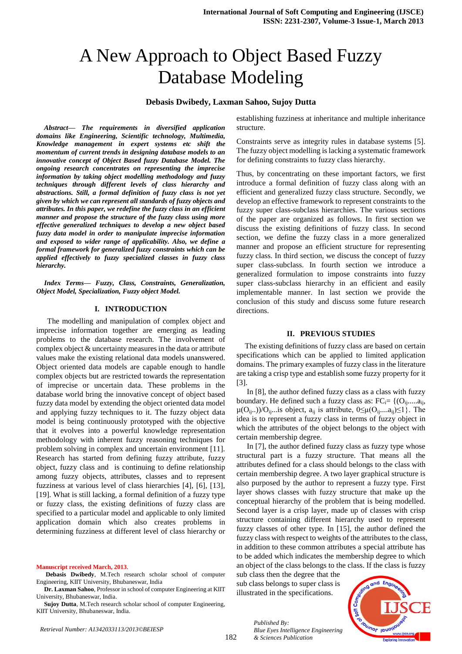# A New Approach to Object Based Fuzzy Database Modeling

### **Debasis Dwibedy, Laxman Sahoo, Sujoy Dutta**

*Abstract— The requirements in diversified application domains like Engineering, Scientific technology, Multimedia, Knowledge management in expert systems etc shift the momentum of current trends in designing database models to an innovative concept of Object Based fuzzy Database Model. The ongoing research concentrates on representing the imprecise information by taking object modelling methodology and fuzzy techniques through different levels of class hierarchy and abstractions. Still, a formal definition of fuzzy class is not yet given by which we can represent all standards of fuzzy objects and attributes. In this paper, we redefine the fuzzy class in an efficient manner and propose the structure of the fuzzy class using more effective generalized techniques to develop a new object based fuzzy data model in order to manipulate imprecise information and exposed to wider range of applicability. Also, we define a formal framework for generalized fuzzy constraints which can be applied effectively to fuzzy specialized classes in fuzzy class hierarchy.* 

*Index Terms— Fuzzy, Class, Constraints, Generalization, Object Model, Specialization, Fuzzy object Model.*

#### **I. INTRODUCTION**

 The modelling and manipulation of complex object and imprecise information together are emerging as leading problems to the database research. The involvement of complex object & uncertainty measures in the data or attribute values make the existing relational data models unanswered. Object oriented data models are capable enough to handle complex objects but are restricted towards the representation of imprecise or uncertain data. These problems in the database world bring the innovative concept of object based fuzzy data model by extending the object oriented data model and applying fuzzy techniques to it. The fuzzy object data model is being continuously prototyped with the objective that it evolves into a powerful knowledge representation methodology with inherent fuzzy reasoning techniques for problem solving in complex and uncertain environment [11]. Research has started from defining fuzzy attribute, fuzzy object, fuzzy class and is continuing to define relationship among fuzzy objects, attributes, classes and to represent fuzziness at various level of class hierarchies [4], [6], [13], [19]. What is still lacking, a formal definition of a fuzzy type or fuzzy class, the existing definitions of fuzzy class are specified to a particular model and applicable to only limited application domain which also creates problems in determining fuzziness at different level of class hierarchy or

#### **Manuscript received March, 2013**.

**Sujoy Dutta**, M.Tech research scholar school of computer Engineering, KIIT University, Bhubaneswar, India.

establishing fuzziness at inheritance and multiple inheritance structure.

Constraints serve as integrity rules in database systems [5]. The fuzzy object modelling is lacking a systematic framework for defining constraints to fuzzy class hierarchy.

Thus, by concentrating on these important factors, we first introduce a formal definition of fuzzy class along with an efficient and generalized fuzzy class structure. Secondly, we develop an effective framework to represent constraints to the fuzzy super class-subclass hierarchies. The various sections of the paper are organized as follows. In first section we discuss the existing definitions of fuzzy class. In second section, we define the fuzzy class in a more generalized manner and propose an efficient structure for representing fuzzy class. In third section, we discuss the concept of fuzzy super class-subclass. In fourth section we introduce a generalized formulation to impose constraints into fuzzy super class-subclass hierarchy in an efficient and easily implementable manner. In last section we provide the conclusion of this study and discuss some future research directions.

#### **II. PREVIOUS STUDIES**

The existing definitions of fuzzy class are based on certain specifications which can be applied to limited application domains. The primary examples of fuzzy class in the literature are taking a crisp type and establish some fuzzy property for it [3].

In [8], the author defined fuzzy class as a class with fuzzy boundary. He defined such a fuzzy class as:  $FC_i = \{ (O_{ij},...,a_{ij},$  $\mu(O_{ii}.)/O_{ii}...$ is object,  $a_{ii}$  is attribute,  $0 \leq \mu(O_{ii}...a_{ii}) \leq 1$ . The idea is to represent a fuzzy class in terms of fuzzy object in which the attributes of the object belongs to the object with certain membership degree.

In [7], the author defined fuzzy class as fuzzy type whose structural part is a fuzzy structure. That means all the attributes defined for a class should belongs to the class with certain membership degree. A two layer graphical structure is also purposed by the author to represent a fuzzy type. First layer shows classes with fuzzy structure that make up the conceptual hierarchy of the problem that is being modelled. Second layer is a crisp layer, made up of classes with crisp structure containing different hierarchy used to represent fuzzy classes of other type. In [15], the author defined the fuzzy class with respect to weights of the attributes to the class, in addition to these common attributes a special attribute has to be added which indicates the membership degree to which an object of the class belongs to the class. If the class is fuzzy

sub class then the degree that the sub class belongs to super class is illustrated in the specifications.

> *Published By: Blue Eyes Intelligence Engineering & Sciences Publication*



**Debasis Dwibedy**, M.Tech research scholar school of computer Engineering, KIIT University, Bhubaneswar, India

**Dr. Laxman Sahoo**, Professor in school of computer Engineering at KIIT University, Bhubaneswar, India.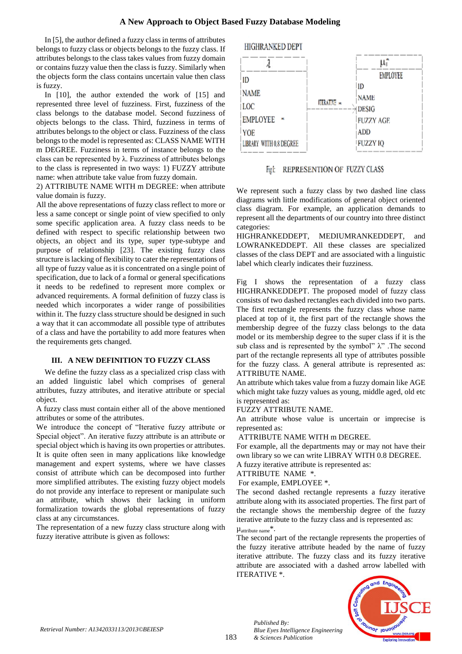In [5], the author defined a fuzzy class in terms of attributes belongs to fuzzy class or objects belongs to the fuzzy class. If attributes belongs to the class takes values from fuzzy domain or contains fuzzy value then the class is fuzzy. Similarly when the objects form the class contains uncertain value then class is fuzzy.

In [10], the author extended the work of [15] and represented three level of fuzziness. First, fuzziness of the class belongs to the database model. Second fuzziness of objects belongs to the class. Third, fuzziness in terms of attributes belongs to the object or class. Fuzziness of the class belongs to the model is represented as: CLASS NAME WITH m DEGREE. Fuzziness in terms of instance belongs to the class can be represented by  $\lambda$ . Fuzziness of attributes belongs to the class is represented in two ways: 1) FUZZY attribute name: when attribute take value from fuzzy domain.

2) ATTRIBUTE NAME WITH m DEGREE: when attribute value domain is fuzzy.

All the above representations of fuzzy class reflect to more or less a same concept or single point of view specified to only some specific application area. A fuzzy class needs to be defined with respect to specific relationship between two objects, an object and its type, super type-subtype and purpose of relationship [23]. The existing fuzzy class structure is lacking of flexibility to cater the representations of all type of fuzzy value as it is concentrated on a single point of specification, due to lack of a formal or general specifications it needs to be redefined to represent more complex or advanced requirements. A formal definition of fuzzy class is needed which incorporates a wider range of possibilities within it. The fuzzy class structure should be designed in such a way that it can accommodate all possible type of attributes of a class and have the portability to add more features when the requirements gets changed.

# **III. A NEW DEFINITION TO FUZZY CLASS**

We define the fuzzy class as a specialized crisp class with an added linguistic label which comprises of general attributes, fuzzy attributes, and iterative attribute or special object.

A fuzzy class must contain either all of the above mentioned attributes or some of the attributes.

We introduce the concept of "Iterative fuzzy attribute or Special object". An iterative fuzzy attribute is an attribute or special object which is having its own properties or attributes. It is quite often seen in many applications like knowledge management and expert systems, where we have classes consist of attribute which can be decomposed into further more simplified attributes. The existing fuzzy object models do not provide any interface to represent or manipulate such an attribute, which shows their lacking in uniform formalization towards the global representations of fuzzy class at any circumstances.

The representation of a new fuzzy class structure along with fuzzy iterative attribute is given as follows:

# HIGHRANKED DEPT



# Fig. REPRESENTION OF FUZZY CLASS

We represent such a fuzzy class by two dashed line class diagrams with little modifications of general object oriented class diagram. For example, an application demands to represent all the departments of our country into three distinct categories:

HIGHRANKEDDEPT, MEDIUMRANKEDDEPT, and LOWRANKEDDEPT. All these classes are specialized classes of the class DEPT and are associated with a linguistic label which clearly indicates their fuzziness.

Fig I shows the representation of a fuzzy class HIGHRANKEDDEPT. The proposed model of fuzzy class consists of two dashed rectangles each divided into two parts. The first rectangle represents the fuzzy class whose name placed at top of it, the first part of the rectangle shows the membership degree of the fuzzy class belongs to the data model or its membership degree to the super class if it is the sub class and is represented by the symbol"  $\lambda$ ". The second part of the rectangle represents all type of attributes possible for the fuzzy class. A general attribute is represented as: ATTRIBUTE NAME.

An attribute which takes value from a fuzzy domain like AGE which might take fuzzy values as young, middle aged, old etc is represented as:

FUZZY ATTRIBUTE NAME.

An attribute whose value is uncertain or imprecise is represented as:

ATTRIBUTE NAME WITH m DEGREE.

For example, all the departments may or may not have their own library so we can write LIBRAY WITH 0.8 DEGREE. A fuzzy iterative attribute is represented as:

ATTRIBUTE NAME \*.

For example, EMPLOYEE \*.

The second dashed rectangle represents a fuzzy iterative attribute along with its associated properties. The first part of the rectangle shows the membership degree of the fuzzy iterative attribute to the fuzzy class and is represented as:

 $\mu_{\text{attribute name}}^*$ .

*Published By:*

*& Sciences Publication* 

The second part of the rectangle represents the properties of the fuzzy iterative attribute headed by the name of fuzzy iterative attribute. The fuzzy class and its fuzzy iterative attribute are associated with a dashed arrow labelled with ITERATIVE \*.

*Blue Eyes Intelligence Engineering* 

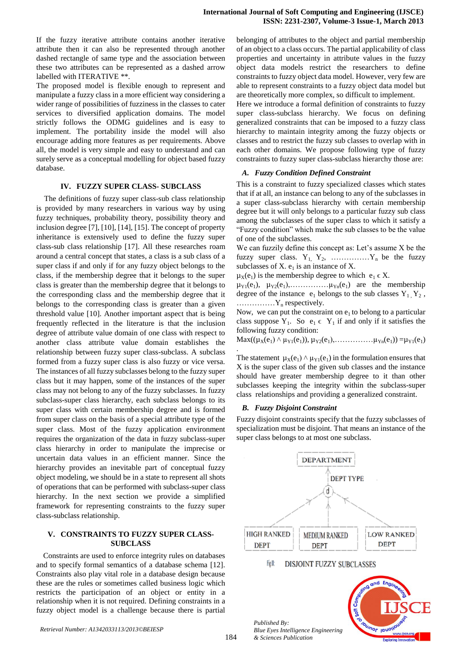If the fuzzy iterative attribute contains another iterative attribute then it can also be represented through another dashed rectangle of same type and the association between these two attributes can be represented as a dashed arrow labelled with ITERATIVE \*\*.

The proposed model is flexible enough to represent and manipulate a fuzzy class in a more efficient way considering a wider range of possibilities of fuzziness in the classes to cater services to diversified application domains. The model strictly follows the ODMG guidelines and is easy to implement. The portability inside the model will also encourage adding more features as per requirements. Above all, the model is very simple and easy to understand and can surely serve as a conceptual modelling for object based fuzzy database.

## **IV. FUZZY SUPER CLASS- SUBCLASS**

The definitions of fuzzy super class-sub class relationship is provided by many researchers in various way by using fuzzy techniques, probability theory, possibility theory and inclusion degree [7], [10], [14], [15]. The concept of property inheritance is extensively used to define the fuzzy super class-sub class relationship [17]. All these researches roam around a central concept that states, a class is a sub class of a super class if and only if for any fuzzy object belongs to the class, if the membership degree that it belongs to the super class is greater than the membership degree that it belongs to the corresponding class and the membership degree that it belongs to the corresponding class is greater than a given threshold value [10]. Another important aspect that is being frequently reflected in the literature is that the inclusion degree of attribute value domain of one class with respect to another class attribute value domain establishes the relationship between fuzzy super class-subclass. A subclass formed from a fuzzy super class is also fuzzy or vice versa. The instances of all fuzzy subclasses belong to the fuzzy super class but it may happen, some of the instances of the super class may not belong to any of the fuzzy subclasses. In fuzzy subclass-super class hierarchy, each subclass belongs to its super class with certain membership degree and is formed from super class on the basis of a special attribute type of the super class. Most of the fuzzy application environment requires the organization of the data in fuzzy subclass-super class hierarchy in order to manipulate the imprecise or uncertain data values in an efficient manner. Since the hierarchy provides an inevitable part of conceptual fuzzy object modeling, we should be in a state to represent all shots of operations that can be performed with subclass-super class hierarchy. In the next section we provide a simplified framework for representing constraints to the fuzzy super class-subclass relationship.

## **V. CONSTRAINTS TO FUZZY SUPER CLASS-SUBCLASS**

Constraints are used to enforce integrity rules on databases and to specify formal semantics of a database schema [12]. Constraints also play vital role in a database design because these are the rules or sometimes called business logic which restricts the participation of an object or entity in a relationship when it is not required. Defining constraints in a fuzzy object model is a challenge because there is partial belonging of attributes to the object and partial membership of an object to a class occurs. The partial applicability of class properties and uncertainty in attribute values in the fuzzy object data models restrict the researchers to define constraints to fuzzy object data model. However, very few are able to represent constraints to a fuzzy object data model but are theoretically more complex, so difficult to implement.

Here we introduce a formal definition of constraints to fuzzy super class-subclass hierarchy. We focus on defining generalized constraints that can be imposed to a fuzzy class hierarchy to maintain integrity among the fuzzy objects or classes and to restrict the fuzzy sub classes to overlap with in each other domains. We propose following type of fuzzy constraints to fuzzy super class-subclass hierarchy those are:

# *A. Fuzzy Condition Defined Constraint*

This is a constraint to fuzzy specialized classes which states that if at all, an instance can belong to any of the subclasses in a super class-subclass hierarchy with certain membership degree but it will only belongs to a particular fuzzy sub class among the subclasses of the super class to which it satisfy a "Fuzzy condition" which make the sub classes to be the value of one of the subclasses.

We can fuzzily define this concept as: Let's assume X be the fuzzy super class.  $Y_1, Y_2, \ldots, Y_n$  be the fuzzy subclasses of  $X$ .  $e_1$  is an instance of  $X$ .

 $\mu_X(e_1)$  is the membership degree to which  $e_1 \in X$ .

µY1(e1), µY2(e1),……………µYn(e1) are the membership degree of the instance  $e_1$  belongs to the sub classes  $Y_1, Y_2$ ,  $\ldots$ ............ $Y_n$  respectively.

Now, we can put the constraint on  $e_1$  to belong to a particular class suppose  $Y_1$ . So  $e_1 \in Y_1$  if and only if it satisfies the following fuzzy condition:

 $Max((\mu_X(e_1) \land \mu_{Y1}(e_1)), \mu_{Y2}(e_1), \ldots, \mu_{Yn}(e_1)) = \mu_{Y1}(e_1)$ 

The statement  $\mu_X(e_1) \wedge \mu_{Y_1}(e_1)$  in the formulation ensures that X is the super class of the given sub classes and the instance should have greater membership degree to it than other subclasses keeping the integrity within the subclass-super class relationships and providing a generalized constraint.

# *B. Fuzzy Disjoint Constraint*

Fuzzy disjoint constraints specify that the fuzzy subclasses of specialization must be disjoint. That means an instance of the super class belongs to at most one subclass.



.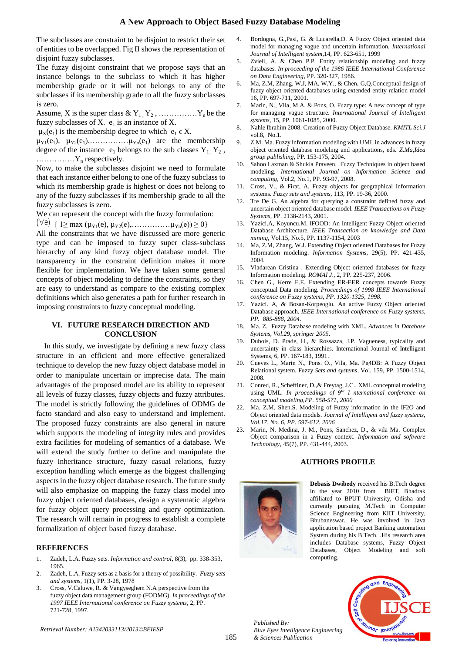The subclasses are constraint to be disjoint to restrict their set of entities to be overlapped. Fig II shows the representation of disjoint fuzzy subclasses.

The fuzzy disjoint constraint that we propose says that an instance belongs to the subclass to which it has higher membership grade or it will not belongs to any of the subclasses if its membership grade to all the fuzzy subclasses is zero.

Assume, X is the super class &  $Y_1, Y_2, \ldots, Y_n$  be the fuzzy subclasses of X.  $e_1$  is an instance of X.

 $\mu_X(e_1)$  is the membership degree to which  $e_1 \in X$ .

µY1(e1), µY2(e1),……………µYn(e1) are the membership degree of the instance  $e_1$  belongs to the sub classes  $Y_1, Y_2$ , ……………Y<sup>n</sup> respectively.

Now, to make the subclasses disjoint we need to formulate that each instance either belong to one of the fuzzy subclass to which its membership grade is highest or does not belong to any of the fuzzy subclasses if its membership grade to all the fuzzy subclasses is zero.

We can represent the concept with the fuzzy formulation:

 $\left(\forall e\right) \{1 \ge \max (\mu_{Y1}(e), \mu_{Y2}(e), \ldots, \ldots, \mu_{Yn}(e)) \ge 0\}$ 

All the constraints that we have discussed are more generic type and can be imposed to fuzzy super class-subclass hierarchy of any kind fuzzy object database model. The transparency in the constraint definition makes it more flexible for implementation. We have taken some general concepts of object modeling to define the constraints, so they are easy to understand as compare to the existing complex definitions which also generates a path for further research in imposing constraints to fuzzy conceptual modeling.

### **VI. FUTURE RESEARCH DIRECTION AND CONCLUSION**

In this study, we investigate by defining a new fuzzy class structure in an efficient and more effective generalized technique to develop the new fuzzy object database model in order to manipulate uncertain or imprecise data. The main advantages of the proposed model are its ability to represent all levels of fuzzy classes, fuzzy objects and fuzzy attributes. The model is strictly following the guidelines of ODMG de facto standard and also easy to understand and implement. The proposed fuzzy constraints are also general in nature which supports the modeling of integrity rules and provides extra facilities for modeling of semantics of a database. We will extend the study further to define and manipulate the fuzzy inheritance structure, fuzzy casual relations, fuzzy exception handling which emerge as the biggest challenging aspects in the fuzzy object database research. The future study will also emphasize on mapping the fuzzy class model into fuzzy object oriented databases, design a systematic algebra for fuzzy object query processing and query optimization. The research will remain in progress to establish a complete formalization of object based fuzzy database.

# **REFERENCES**

- 1. Zadeh, L.A. Fuzzy sets. *Information and control*, 8(3), pp. 338-353, 1965.
- 2. Zadeh, L.A. Fuzzy sets as a basis for a theory of possibility. *Fuzzy sets and systems*, 1(1), PP. 3-28, 1978
- 3. Cross, V.Caluwe, R. & Vangyseghem N.A perspective from the fuzzy object data management group (FODMG). *In proceedings of the 1997 IEEE International conference on Fuzzy systems*, 2, PP. 721-728, 1997.
- 4. Bordogna, G.,Pasi, G. & Lucarella,D. A Fuzzy Object oriented data model for managing vague and uncertain information. *International Journal of Intelligent system*,14, PP. 623-651, 1999
- 5. Zvieli, A. & Chen P.P. Entity relationship modeling and fuzzy databases*. In proceeding of the 1986 IEEE International Conference on Data Engineering*, PP. 320-327, 1986.
- 6. Ma, Z.M, Zhang, W.J, MA, W.Y., & Chen, G,Q.Conceptual design of fuzzy object oriented databases using extended entity relation model 16, PP. 697-711, 2001.
- 7. Marin, N., Vila, M.A. & Pons, O. Fuzzy type: A new concept of type for managing vague structure. *International Journal of Intelligent systems*, 15, PP. 1061-1085, 2000.
- 8. Nahle Ibrahim 2008. Creation of Fuzzy Object Database. *KMITL Sci.J* vol.8, No.1.
- 9. Z.M. Ma. Fuzzy Information modeling with UML in advances in fuzzy object oriented database modeling and applications, eds. *Z.Ma,Idea group publishing*, PP. 153-175, 2004.
- 10. Sahoo Laxman & Shukla Praveen. Fuzzy Techniques in object based modeling. *International Journal on Information Science and computing*, Vol.2, No.1, PP. 93-97, 2008.
- 11. Cross, V., & Firat, A. Fuzzy objects for geographical Information systems. *Fuzzy sets and systems*, 113, PP. 19-36, 2000.
- 12. Tre De G. An algebra for querying a constraint defined fuzzy and uncertain object oriented database model. *IEEE Transactions on Fuzzy Systems*, PP. 2138-2143, 2001.
- 13. Yazici.A, Koyuncu.M. IFOOD: An Intelligent Fuzzy Object oriented Database Architecture. *IEEE Transaction on knowledge and Data mining*, Vol.15, No.5, PP. 1137-1154, 2003
- 14. Ma, Z.M, Zhang, W.J. Extending Object oriented Databases for Fuzzy Information modeling. *Information Systems*, 29(5), PP. 421-435, 2004.
- 15. Vladarean Cristina . Extending Object oriented databases for fuzzy Information modeling. *ROMAI J*., 2, PP. 225-237, 2006.
- 16. Chen G., Kerre E.E. Extending ER-EER concepts towards Fuzzy conceptual Data modeling*. Proceedings of 1998 IEEE International conference on Fuzzy systems, PP. 1320-1325, 1998.*
- 17. Yazici. A, & Bosan-Korpeoglu. An active Fuzzy Object oriented Database approach. *IEEE International conference on Fuzzy systems, PP. 885-888, 2004.*
- 18. Ma. Z. Fuzzy Database modeling with XML*. Advances in Database Systems, Vol.29, springer 2005.*
- 19. Dubois, D. Prade, H., & Rossazza, J.P. Vagueness, typicality and uncertainty in class hierarchies. International Journal of Intelligent Systems, 6, PP. 167-183, 1991.
- 20. Cueves L., Marin N., Pons. O., Vila, Ma. Pg4DB: A Fuzzy Object Relational system. Fuzzy *Sets and systems*, Vol. 159, PP. 1500-1514, 2008.
- 21. Conred, R., Scheffiner, D.,& Freytag, J.C.. XML conceptual modeling using UML*. In proceedings of 9th I nternational conference on conceptual modeling,PP. 558-571, 2000*
- 22. Ma. Z.M, Shen.S. Modeling of Fuzzy information in the IF2O and Object oriented data models*. Journal of Intelligent and fuzzy systems, Vol.17, No. 6, PP. 597-612. 2006*
- 23. Marin, N. Medina, J. M., Pons, Sanchez, D., & vila Ma. Complex Object comparison in a Fuzzy context*. Information and software Technology*, 45(7), PP. 431-444, 2003.

# **AUTHORS PROFILE**



**Debasis Dwibedy** received his B.Tech degree in the year 2010 from BIET Bhadrak affiliated to BPUT University, Odisha and currently pursuing M.Tech in Computer Science Engineering from KIIT University, Bhubaneswar. He was involved in Java application based project Banking automation System during his B.Tech. .His research area includes Database systems, Fuzzy Object Databases, Object Modeling and soft computing.